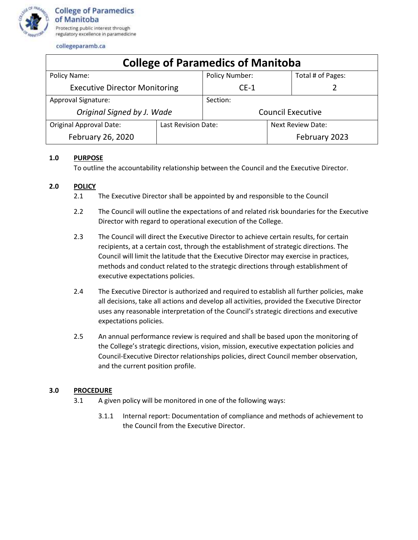

collegeparamb.ca

| <b>College of Paramedics of Manitoba</b> |                     |                          |                          |                   |
|------------------------------------------|---------------------|--------------------------|--------------------------|-------------------|
| Policy Name:                             |                     | <b>Policy Number:</b>    |                          | Total # of Pages: |
| <b>Executive Director Monitoring</b>     |                     | $CE-1$                   |                          |                   |
| <b>Approval Signature:</b>               |                     | Section:                 |                          |                   |
| Original Signed by J. Wade               |                     | <b>Council Executive</b> |                          |                   |
| <b>Original Approval Date:</b>           | Last Revision Date: |                          | <b>Next Review Date:</b> |                   |
| February 26, 2020                        |                     |                          |                          | February 2023     |

## **1.0 PURPOSE**

To outline the accountability relationship between the Council and the Executive Director.

## **2.0 POLICY**

- 2.1 The Executive Director shall be appointed by and responsible to the Council
- 2.2 The Council will outline the expectations of and related risk boundaries for the Executive Director with regard to operational execution of the College.
- 2.3 The Council will direct the Executive Director to achieve certain results, for certain recipients, at a certain cost, through the establishment of strategic directions. The Council will limit the latitude that the Executive Director may exercise in practices, methods and conduct related to the strategic directions through establishment of executive expectations policies.
- 2.4 The Executive Director is authorized and required to establish all further policies, make all decisions, take all actions and develop all activities, provided the Executive Director uses any reasonable interpretation of the Council's strategic directions and executive expectations policies.
- 2.5 An annual performance review is required and shall be based upon the monitoring of the College's strategic directions, vision, mission, executive expectation policies and Council-Executive Director relationships policies, direct Council member observation, and the current position profile.

## **3.0 PROCEDURE**

- 3.1 A given policy will be monitored in one of the following ways:
	- 3.1.1 Internal report: Documentation of compliance and methods of achievement to the Council from the Executive Director.